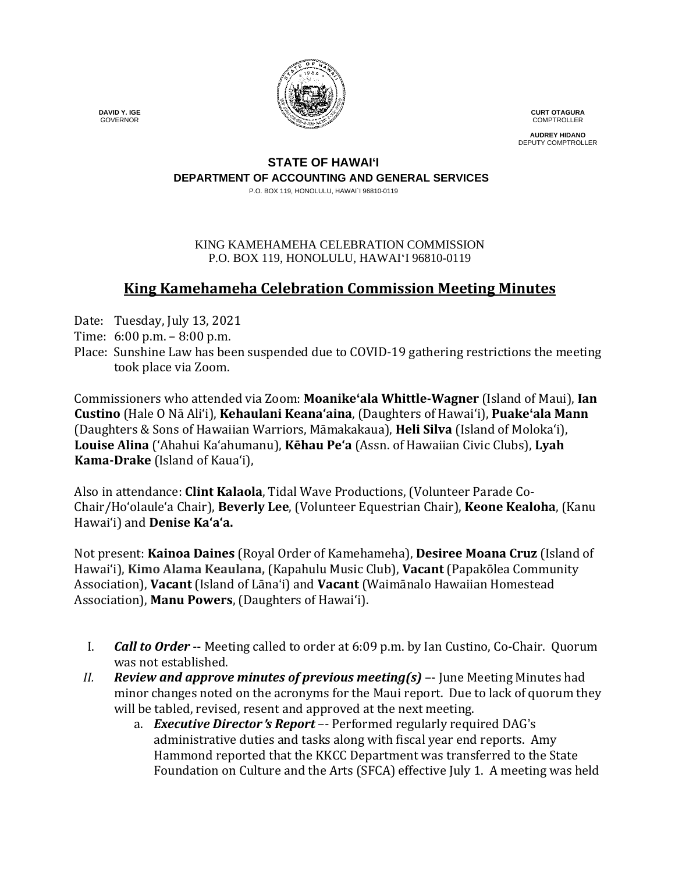

**CURT OTAGURA** COMPTROLLER

**AUDREY HIDANO** DEPUTY COMPTROLLER

#### **STATE OF HAWAI'I DEPARTMENT OF ACCOUNTING AND GENERAL SERVICES**

P.O. BOX 119, HONOLULU, HAWAI`I 96810-0119

#### KING KAMEHAMEHA CELEBRATION COMMISSION P.O. BOX 119, HONOLULU, HAWAIʻI 96810-0119

# **King Kamehameha Celebration Commission Meeting Minutes**

Date: Tuesday, July 13, 2021

- Time: 6:00 p.m. 8:00 p.m.
- Place: Sunshine Law has been suspended due to COVID-19 gathering restrictions the meeting took place via Zoom.

Commissioners who attended via Zoom: **Moanike'ala Whittle-Wagner** (Island of Maui), **Ian Custino** (Hale O Nā Ali'i), **Kehaulani Keana'aina**, (Daughters of Hawai'i), **Puake'ala Mann** (Daughters & Sons of Hawaiian Warriors, Māmakakaua), **Heli Silva** (Island of Molokaʻi), **Louise Alina** ('Ahahui Kaʻahumanu), **Kēhau Pe'a** (Assn. of Hawaiian Civic Clubs), **Lyah Kama-Drake** (Island of Kaua'i),

Also in attendance: **Clint Kalaola**, Tidal Wave Productions, (Volunteer Parade Co-Chair/Ho'olaule'a Chair), **Beverly Lee**, (Volunteer Equestrian Chair), **Keone Kealoha**, (Kanu Hawaiʻi) and **Denise Kaʻaʻa.**

Not present: **Kainoa Daines** (Royal Order of Kamehameha), **Desiree Moana Cruz** (Island of Hawai'i), **Kimo Alama Keaulana,** (Kapahulu Music Club), **Vacant** (Papakōlea Community Association), **Vacant** (Island of Lāna'i) and **Vacant** (Waimānalo Hawaiian Homestead Association), **Manu Powers**, (Daughters of Hawaiʻi).

- I. *Call to Order* -- Meeting called to order at 6:09 p.m. by Ian Custino, Co-Chair. Quorum was not established.
- *II. Review and approve minutes of previous meeting(s)* –- June Meeting Minutes had minor changes noted on the acronyms for the Maui report. Due to lack of quorum they will be tabled, revised, resent and approved at the next meeting.
	- a. *Executive Director*'*s Report* –- Performed regularly required DAG's administrative duties and tasks along with fiscal year end reports. Amy Hammond reported that the KKCC Department was transferred to the State Foundation on Culture and the Arts (SFCA) effective July 1. A meeting was held

 **DAVID Y. IGE** GOVERNOR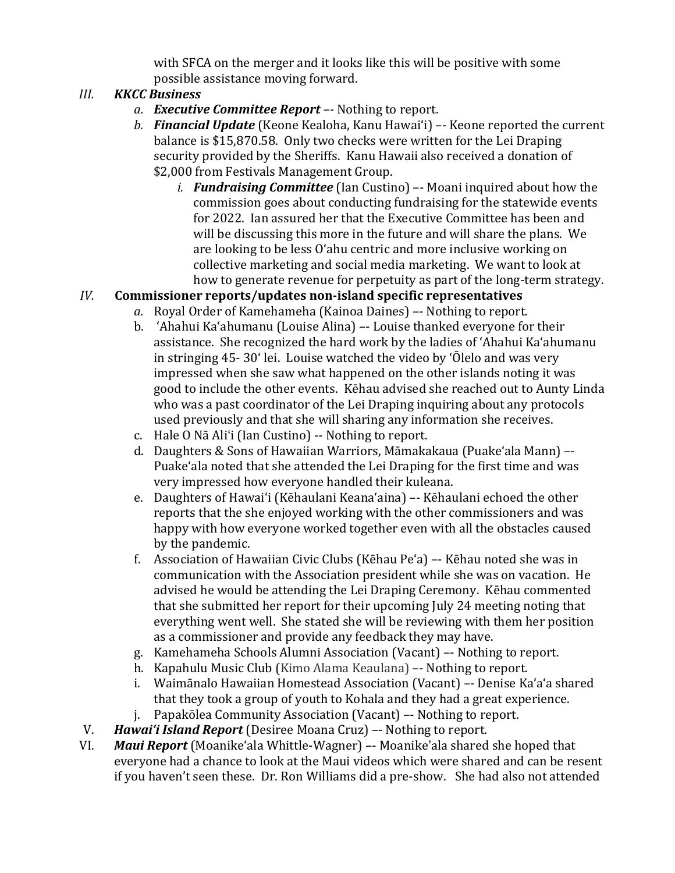with SFCA on the merger and it looks like this will be positive with some possible assistance moving forward.

### *III. KKCC Business*

- *a. Executive Committee Report –-* Nothing to report.
- *b. Financial Update* (Keone Kealoha, Kanu Hawaiʻi) –- Keone reported the current balance is \$15,870.58. Only two checks were written for the Lei Draping security provided by the Sheriffs. Kanu Hawaii also received a donation of \$2,000 from Festivals Management Group.
	- *i. Fundraising Committee* (Ian Custino) –- Moani inquired about how the commission goes about conducting fundraising for the statewide events for 2022. Ian assured her that the Executive Committee has been and will be discussing this more in the future and will share the plans. We are looking to be less Oʻahu centric and more inclusive working on collective marketing and social media marketing. We want to look at how to generate revenue for perpetuity as part of the long-term strategy.

## *IV.* **Commissioner reports/updates non-island specific representatives**

- *a.* Royal Order of Kamehameha (Kainoa Daines) –- Nothing to report.
- b. 'Ahahui Ka'ahumanu (Louise Alina) –- Louise thanked everyone for their assistance. She recognized the hard work by the ladies of 'Ahahui Ka'ahumanu in stringing 45- 30ʻ lei. Louise watched the video by ʻŌlelo and was very impressed when she saw what happened on the other islands noting it was good to include the other events. Kēhau advised she reached out to Aunty Linda who was a past coordinator of the Lei Draping inquiring about any protocols used previously and that she will sharing any information she receives.
- c. Hale O Nā Ali'i (Ian Custino) -- Nothing to report.
- d. Daughters & Sons of Hawaiian Warriors, Māmakakaua (Puake'ala Mann) –- Puakeʻala noted that she attended the Lei Draping for the first time and was very impressed how everyone handled their kuleana.
- e. Daughters of Hawai'i (Kēhaulani Keana'aina) –- Kēhaulani echoed the other reports that the she enjoyed working with the other commissioners and was happy with how everyone worked together even with all the obstacles caused by the pandemic.
- f. Association of Hawaiian Civic Clubs (Kēhau Peʻa) –- Kēhau noted she was in communication with the Association president while she was on vacation. He advised he would be attending the Lei Draping Ceremony. Kēhau commented that she submitted her report for their upcoming July 24 meeting noting that everything went well. She stated she will be reviewing with them her position as a commissioner and provide any feedback they may have.
- g. Kamehameha Schools Alumni Association (Vacant) –- Nothing to report.
- h. Kapahulu Music Club (Kimo Alama Keaulana) –- Nothing to report.
- i. Waimānalo Hawaiian Homestead Association (Vacant) –- Denise Kaʻaʻa shared that they took a group of youth to Kohala and they had a great experience.
- j. Papakōlea Community Association (Vacant) –- Nothing to report.
- V. *Hawaiʻi Island Report* (Desiree Moana Cruz) –- Nothing to report.
- Maui Report (Moanike'ala Whittle-Wagner) -- Moanike'ala shared she hoped that everyone had a chance to look at the Maui videos which were shared and can be resent if you haven't seen these. Dr. Ron Williams did a pre-show. She had also not attended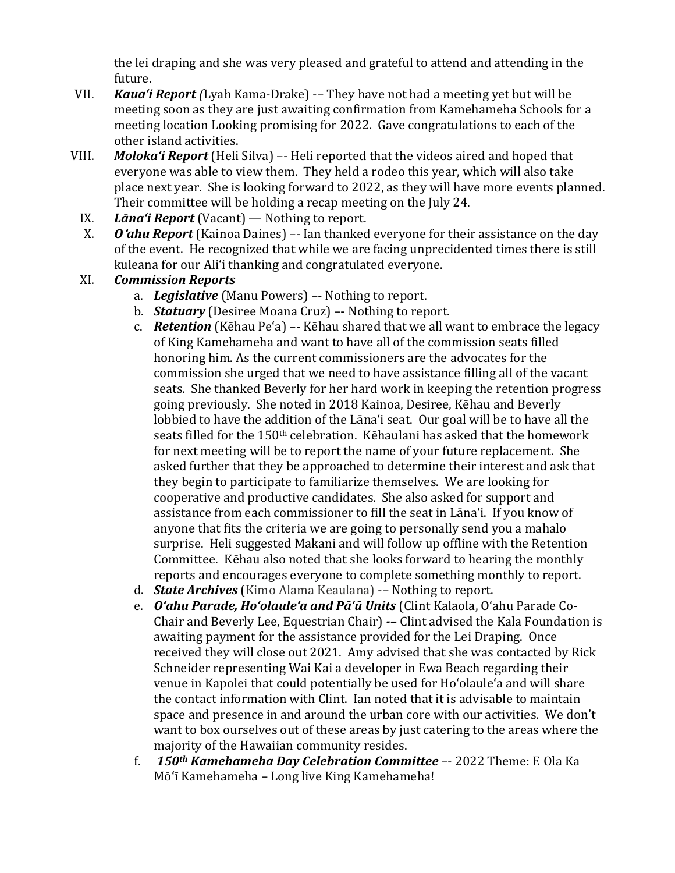the lei draping and she was very pleased and grateful to attend and attending in the future.

- VII. *Kauaʻi Report (*Lyah Kama-Drake) -– They have not had a meeting yet but will be meeting soon as they are just awaiting confirmation from Kamehameha Schools for a meeting location Looking promising for 2022. Gave congratulations to each of the other island activities.
- VIII. *Molokaʻi Report* (Heli Silva) –- Heli reported that the videos aired and hoped that everyone was able to view them. They held a rodeo this year, which will also take place next year. She is looking forward to 2022, as they will have more events planned. Their committee will be holding a recap meeting on the July 24.
	- IX. *Lānaʻi Report* (Vacant) Nothing to report.<br>X. **Oʻghu Report** (Kainoa Daines) Ian thanked
	- *O***'ahu Report** (Kainoa Daines) –- Ian thanked everyone for their assistance on the day of the event. He recognized that while we are facing unprecidented times there is still kuleana for our Aliʻi thanking and congratulated everyone.

### XI. *Commission Reports*

- a. *Legislative* (Manu Powers) –- Nothing to report.
- b. *Statuary* (Desiree Moana Cruz) –- Nothing to report.
- c. *Retention* (Kēhau Pe'a) –- Kēhau shared that we all want to embrace the legacy of King Kamehameha and want to have all of the commission seats filled honoring him. As the current commissioners are the advocates for the commission she urged that we need to have assistance filling all of the vacant seats. She thanked Beverly for her hard work in keeping the retention progress going previously. She noted in 2018 Kainoa, Desiree, Kēhau and Beverly lobbied to have the addition of the Lānaʻi seat. Our goal will be to have all the seats filled for the 150<sup>th</sup> celebration. Kēhaulani has asked that the homework for next meeting will be to report the name of your future replacement. She asked further that they be approached to determine their interest and ask that they begin to participate to familiarize themselves. We are looking for cooperative and productive candidates. She also asked for support and assistance from each commissioner to fill the seat in Lānaʻi. If you know of anyone that fits the criteria we are going to personally send you a mahalo surprise. Heli suggested Makani and will follow up offline with the Retention Committee. Kēhau also noted that she looks forward to hearing the monthly reports and encourages everyone to complete something monthly to report.
- d. *State Archives* (Kimo Alama Keaulana) -– Nothing to report.
- e. *Oʻahu Parade, Hoʻolauleʻa and Pāʻū Units* (Clint Kalaola, Oʻahu Parade Co-Chair and Beverly Lee, Equestrian Chair) *-–* Clint advised the Kala Foundation is awaiting payment for the assistance provided for the Lei Draping. Once received they will close out 2021. Amy advised that she was contacted by Rick Schneider representing Wai Kai a developer in Ewa Beach regarding their venue in Kapolei that could potentially be used for Hoʻolauleʻa and will share the contact information with Clint. Ian noted that it is advisable to maintain space and presence in and around the urban core with our activities. We don't want to box ourselves out of these areas by just catering to the areas where the majority of the Hawaiian community resides.
- f. *150th Kamehameha Day Celebration Committee* –- 2022 Theme: E Ola Ka Mōʻī Kamehameha – Long live King Kamehameha!